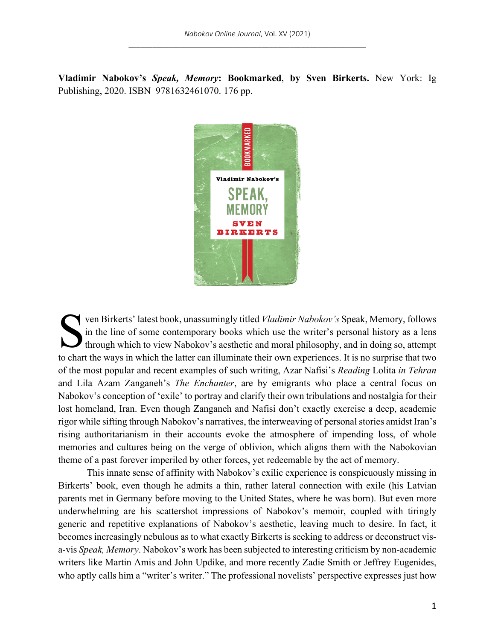**Vladimir Nabokov's** *Speak, Memory***: Bookmarked**, **by Sven Birkerts.** New York: Ig Publishing, 2020. ISBN 9781632461070. 176 pp.



ven Birkerts' latest book, unassumingly titled *Vladimir Nabokov's* Speak, Memory, follows in the line of some contemporary books which use the writer's personal history as a lens through which to view Nabokov's aesthetic and moral philosophy, and in doing so, attempt to chart the ways in which the latter can illuminate their own experiences. It is no surprise that two of the most popular and recent examples of such writing, Azar Nafisi's *Reading* Lolita *in Tehran* and Lila Azam Zanganeh's *The Enchanter*, are by emigrants who place a central focus on Nabokov's conception of 'exile' to portray and clarify their own tribulations and nostalgia for their lost homeland, Iran. Even though Zanganeh and Nafisi don't exactly exercise a deep, academic rigor while sifting through Nabokov's narratives, the interweaving of personal stories amidst Iran's rising authoritarianism in their accounts evoke the atmosphere of impending loss, of whole memories and cultures being on the verge of oblivion, which aligns them with the Nabokovian theme of a past forever imperiled by other forces, yet redeemable by the act of memory. S

This innate sense of affinity with Nabokov's exilic experience is conspicuously missing in Birkerts' book, even though he admits a thin, rather lateral connection with exile (his Latvian parents met in Germany before moving to the United States, where he was born). But even more underwhelming are his scattershot impressions of Nabokov's memoir, coupled with tiringly generic and repetitive explanations of Nabokov's aesthetic, leaving much to desire. In fact, it becomes increasingly nebulous as to what exactly Birkerts is seeking to address or deconstruct visa-vis *Speak, Memory*. Nabokov's work has been subjected to interesting criticism by non-academic writers like Martin Amis and John Updike, and more recently Zadie Smith or Jeffrey Eugenides, who aptly calls him a "writer's writer." The professional novelists' perspective expresses just how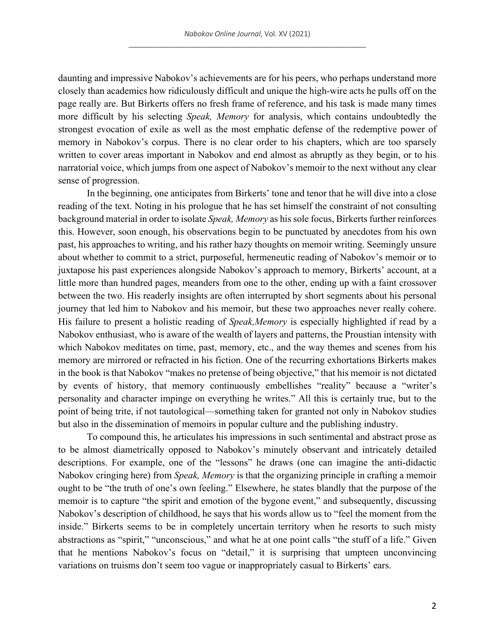daunting and impressive Nabokov's achievements are for his peers, who perhaps understand more closely than academics how ridiculously difficult and unique the high-wire acts he pulls off on the page really are. But Birkerts offers no fresh frame of reference, and his task is made many times more difficult by his selecting *Speak, Memory* for analysis, which contains undoubtedly the strongest evocation of exile as well as the most emphatic defense of the redemptive power of memory in Nabokov's corpus. There is no clear order to his chapters, which are too sparsely written to cover areas important in Nabokov and end almost as abruptly as they begin, or to his narratorial voice, which jumps from one aspect of Nabokov's memoir to the next without any clear sense of progression.

In the beginning, one anticipates from Birkerts' tone and tenor that he will dive into a close reading of the text. Noting in his prologue that he has set himself the constraint of not consulting background material in order to isolate *Speak, Memory* as his sole focus, Birkerts further reinforces this. However, soon enough, his observations begin to be punctuated by anecdotes from his own past, his approaches to writing, and his rather hazy thoughts on memoir writing. Seemingly unsure about whether to commit to a strict, purposeful, hermeneutic reading of Nabokov's memoir or to juxtapose his past experiences alongside Nabokov's approach to memory, Birkerts' account, at a little more than hundred pages, meanders from one to the other, ending up with a faint crossover between the two. His readerly insights are often interrupted by short segments about his personal journey that led him to Nabokov and his memoir, but these two approaches never really cohere. His failure to present a holistic reading of *Speak,Memory* is especially highlighted if read by a Nabokov enthusiast, who is aware of the wealth of layers and patterns, the Proustian intensity with which Nabokov meditates on time, past, memory, etc., and the way themes and scenes from his memory are mirrored or refracted in his fiction. One of the recurring exhortations Birkerts makes in the book is that Nabokov "makes no pretense of being objective," that his memoir is not dictated by events of history, that memory continuously embellishes "reality" because a "writer's personality and character impinge on everything he writes." All this is certainly true, but to the point of being trite, if not tautological—something taken for granted not only in Nabokov studies but also in the dissemination of memoirs in popular culture and the publishing industry.

To compound this, he articulates his impressions in such sentimental and abstract prose as to be almost diametrically opposed to Nabokov's minutely observant and intricately detailed descriptions. For example, one of the "lessons" he draws (one can imagine the anti-didactic Nabokov cringing here) from *Speak, Memory* is that the organizing principle in crafting a memoir ought to be "the truth of one's own feeling." Elsewhere, he states blandly that the purpose of the memoir is to capture "the spirit and emotion of the bygone event," and subsequently, discussing Nabokov's description of childhood, he says that his words allow us to "feel the moment from the inside." Birkerts seems to be in completely uncertain territory when he resorts to such misty abstractions as "spirit," "unconscious," and what he at one point calls "the stuff of a life." Given that he mentions Nabokov's focus on "detail," it is surprising that umpteen unconvincing variations on truisms don't seem too vague or inappropriately casual to Birkerts' ears.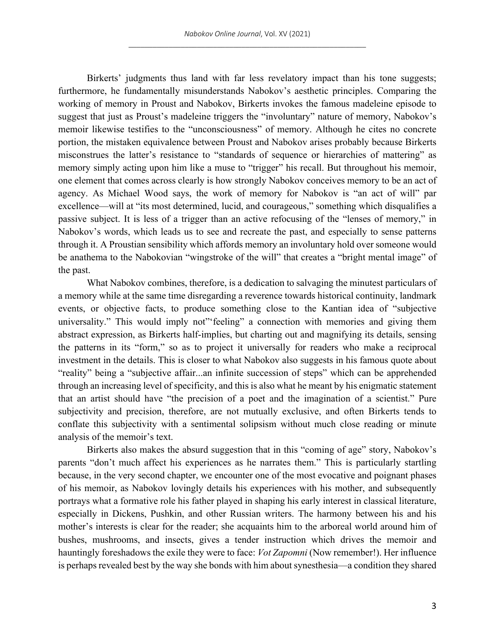Birkerts' judgments thus land with far less revelatory impact than his tone suggests; furthermore, he fundamentally misunderstands Nabokov's aesthetic principles. Comparing the working of memory in Proust and Nabokov, Birkerts invokes the famous madeleine episode to suggest that just as Proust's madeleine triggers the "involuntary" nature of memory, Nabokov's memoir likewise testifies to the "unconsciousness" of memory. Although he cites no concrete portion, the mistaken equivalence between Proust and Nabokov arises probably because Birkerts misconstrues the latter's resistance to "standards of sequence or hierarchies of mattering" as memory simply acting upon him like a muse to "trigger" his recall. But throughout his memoir, one element that comes across clearly is how strongly Nabokov conceives memory to be an act of agency. As Michael Wood says, the work of memory for Nabokov is "an act of will" par excellence—will at "its most determined, lucid, and courageous," something which disqualifies a passive subject. It is less of a trigger than an active refocusing of the "lenses of memory," in Nabokov's words, which leads us to see and recreate the past, and especially to sense patterns through it. A Proustian sensibility which affords memory an involuntary hold over someone would be anathema to the Nabokovian "wingstroke of the will" that creates a "bright mental image" of the past.

What Nabokov combines, therefore, is a dedication to salvaging the minutest particulars of a memory while at the same time disregarding a reverence towards historical continuity, landmark events, or objective facts, to produce something close to the Kantian idea of "subjective universality." This would imply not" feeling" a connection with memories and giving them abstract expression, as Birkerts half-implies, but charting out and magnifying its details, sensing the patterns in its "form," so as to project it universally for readers who make a reciprocal investment in the details. This is closer to what Nabokov also suggests in his famous quote about "reality" being a "subjective affair...an infinite succession of steps" which can be apprehended through an increasing level of specificity, and this is also what he meant by his enigmatic statement that an artist should have "the precision of a poet and the imagination of a scientist." Pure subjectivity and precision, therefore, are not mutually exclusive, and often Birkerts tends to conflate this subjectivity with a sentimental solipsism without much close reading or minute analysis of the memoir's text.

Birkerts also makes the absurd suggestion that in this "coming of age" story, Nabokov's parents "don't much affect his experiences as he narrates them." This is particularly startling because, in the very second chapter, we encounter one of the most evocative and poignant phases of his memoir, as Nabokov lovingly details his experiences with his mother, and subsequently portrays what a formative role his father played in shaping his early interest in classical literature, especially in Dickens, Pushkin, and other Russian writers. The harmony between his and his mother's interests is clear for the reader; she acquaints him to the arboreal world around him of bushes, mushrooms, and insects, gives a tender instruction which drives the memoir and hauntingly foreshadows the exile they were to face: *Vot Zapomni* (Now remember!). Her influence is perhaps revealed best by the way she bonds with him about synesthesia—a condition they shared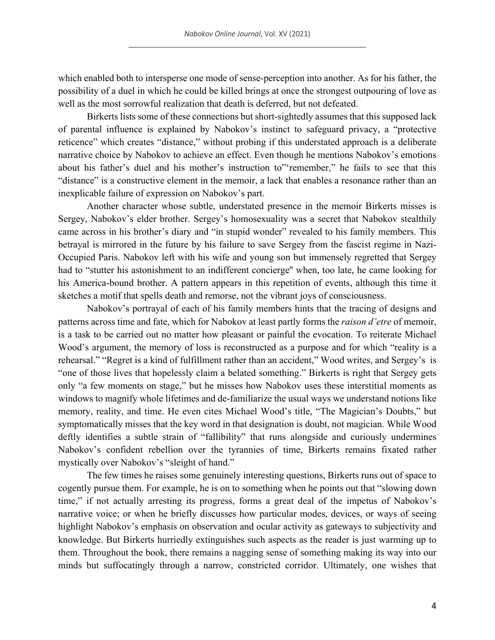which enabled both to intersperse one mode of sense-perception into another. As for his father, the possibility of a duel in which he could be killed brings at once the strongest outpouring of love as well as the most sorrowful realization that death is deferred, but not defeated.

Birkerts lists some of these connections but short-sightedly assumes that this supposed lack of parental influence is explained by Nabokov's instinct to safeguard privacy, a "protective reticence" which creates "distance," without probing if this understated approach is a deliberate narrative choice by Nabokov to achieve an effect. Even though he mentions Nabokov's emotions about his father's duel and his mother's instruction to"'remember," he fails to see that this "distance" is a constructive element in the memoir, a lack that enables a resonance rather than an inexplicable failure of expression on Nabokov's part.

Another character whose subtle, understated presence in the memoir Birkerts misses is Sergey, Nabokov's elder brother. Sergey's homosexuality was a secret that Nabokov stealthily came across in his brother's diary and "in stupid wonder" revealed to his family members. This betrayal is mirrored in the future by his failure to save Sergey from the fascist regime in Nazi-Occupied Paris. Nabokov left with his wife and young son but immensely regretted that Sergey had to "stutter his astonishment to an indifferent concierge'' when, too late, he came looking for his America-bound brother. A pattern appears in this repetition of events, although this time it sketches a motif that spells death and remorse, not the vibrant joys of consciousness.

Nabokov's portrayal of each of his family members hints that the tracing of designs and patterns across time and fate, which for Nabokov at least partly forms the *raison d'etre* of memoir, is a task to be carried out no matter how pleasant or painful the evocation. To reiterate Michael Wood's argument, the memory of loss is reconstructed as a purpose and for which "reality is a rehearsal." "Regret is a kind of fulfillment rather than an accident," Wood writes, and Sergey's is "one of those lives that hopelessly claim a belated something." Birkerts is right that Sergey gets only "a few moments on stage," but he misses how Nabokov uses these interstitial moments as windows to magnify whole lifetimes and de-familiarize the usual ways we understand notions like memory, reality, and time. He even cites Michael Wood's title, "The Magician's Doubts," but symptomatically misses that the key word in that designation is doubt, not magician. While Wood deftly identifies a subtle strain of "fallibility" that runs alongside and curiously undermines Nabokov's confident rebellion over the tyrannies of time, Birkerts remains fixated rather mystically over Nabokov's "sleight of hand."

The few times he raises some genuinely interesting questions, Birkerts runs out of space to cogently pursue them. For example, he is on to something when he points out that "slowing down time," if not actually arresting its progress, forms a great deal of the impetus of Nabokov's narrative voice; or when he briefly discusses how particular modes, devices, or ways of seeing highlight Nabokov's emphasis on observation and ocular activity as gateways to subjectivity and knowledge. But Birkerts hurriedly extinguishes such aspects as the reader is just warming up to them. Throughout the book, there remains a nagging sense of something making its way into our minds but suffocatingly through a narrow, constricted corridor. Ultimately, one wishes that